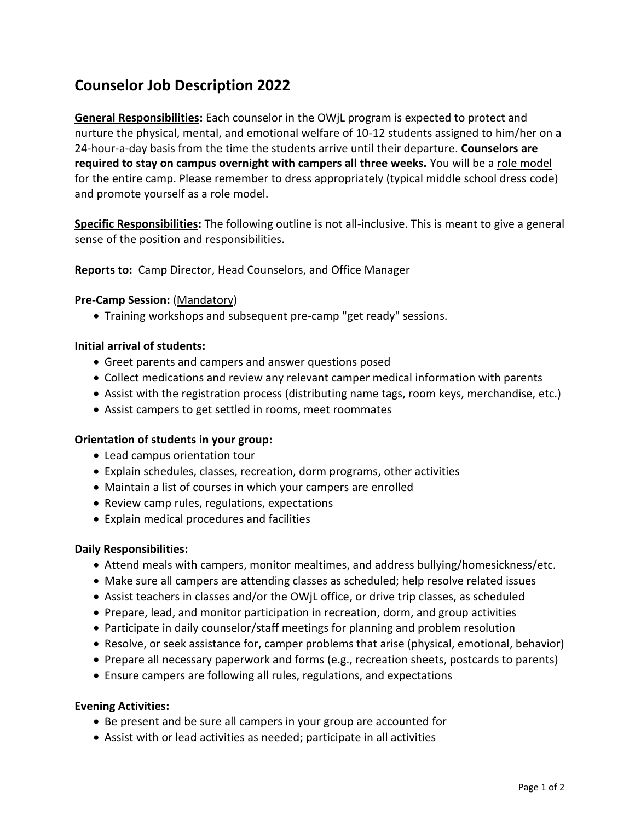# **Counselor Job Description 2022**

**General Responsibilities:** Each counselor in the OWjL program is expected to protect and nurture the physical, mental, and emotional welfare of 10-12 students assigned to him/her on a 24-hour-a-day basis from the time the students arrive until their departure. **Counselors are required to stay on campus overnight with campers all three weeks.** You will be a role model for the entire camp. Please remember to dress appropriately (typical middle school dress code) and promote yourself as a role model.

**Specific Responsibilities:** The following outline is not all-inclusive. This is meant to give a general sense of the position and responsibilities.

**Reports to:** Camp Director, Head Counselors, and Office Manager

## **Pre-Camp Session:** (Mandatory)

Training workshops and subsequent pre-camp "get ready" sessions.

## **Initial arrival of students:**

- Greet parents and campers and answer questions posed
- Collect medications and review any relevant camper medical information with parents
- Assist with the registration process (distributing name tags, room keys, merchandise, etc.)
- Assist campers to get settled in rooms, meet roommates

## **Orientation of students in your group:**

- Lead campus orientation tour
- Explain schedules, classes, recreation, dorm programs, other activities
- Maintain a list of courses in which your campers are enrolled
- Review camp rules, regulations, expectations
- Explain medical procedures and facilities

## **Daily Responsibilities:**

- Attend meals with campers, monitor mealtimes, and address bullying/homesickness/etc.
- Make sure all campers are attending classes as scheduled; help resolve related issues
- Assist teachers in classes and/or the OWjL office, or drive trip classes, as scheduled
- Prepare, lead, and monitor participation in recreation, dorm, and group activities
- Participate in daily counselor/staff meetings for planning and problem resolution
- Resolve, or seek assistance for, camper problems that arise (physical, emotional, behavior)
- Prepare all necessary paperwork and forms (e.g., recreation sheets, postcards to parents)
- Ensure campers are following all rules, regulations, and expectations

## **Evening Activities:**

- Be present and be sure all campers in your group are accounted for
- Assist with or lead activities as needed; participate in all activities